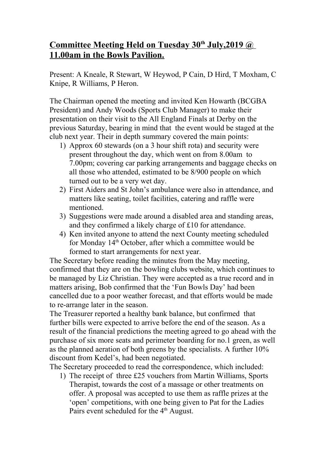## **Committee Meeting Held on Tuesday 30th July,2019 @ 11.00am in the Bowls Pavilion.**

Present: A Kneale, R Stewart, W Heywod, P Cain, D Hird, T Moxham, C Knipe, R Williams, P Heron.

The Chairman opened the meeting and invited Ken Howarth (BCGBA President) and Andy Woods (Sports Club Manager) to make their presentation on their visit to the All England Finals at Derby on the previous Saturday, bearing in mind that the event would be staged at the club next year. Their in depth summary covered the main points:

- 1) Approx 60 stewards (on a 3 hour shift rota) and security were present throughout the day, which went on from 8.00am to 7.00pm; covering car parking arrangements and baggage checks on all those who attended, estimated to be 8/900 people on which turned out to be a very wet day.
- 2) First Aiders and St John's ambulance were also in attendance, and matters like seating, toilet facilities, catering and raffle were mentioned.
- 3) Suggestions were made around a disabled area and standing areas, and they confirmed a likely charge of £10 for attendance.
- 4) Ken invited anyone to attend the next County meeting scheduled for Monday 14<sup>th</sup> October, after which a committee would be formed to start arrangements for next year.

The Secretary before reading the minutes from the May meeting, confirmed that they are on the bowling clubs website, which continues to be managed by Liz Christian. They were accepted as a true record and in matters arising, Bob confirmed that the 'Fun Bowls Day' had been cancelled due to a poor weather forecast, and that efforts would be made to re-arrange later in the season.

The Treasurer reported a healthy bank balance, but confirmed that further bills were expected to arrive before the end of the season. As a result of the financial predictions the meeting agreed to go ahead with the purchase of six more seats and perimeter boarding for no.1 green, as well as the planned aeration of both greens by the specialists. A further 10% discount from Kedel's, had been negotiated.

The Secretary proceeded to read the correspondence, which included:

1) The receipt of three £25 vouchers from Martin Williams, Sports Therapist, towards the cost of a massage or other treatments on offer. A proposal was accepted to use them as raffle prizes at the 'open' competitions, with one being given to Pat for the Ladies Pairs event scheduled for the 4<sup>th</sup> August.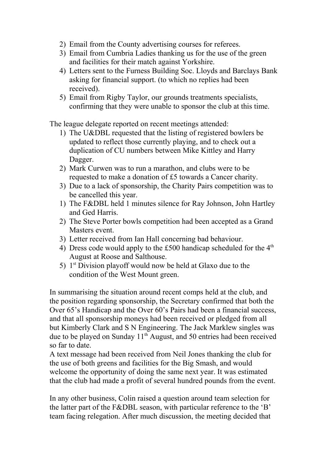- 2) Email from the County advertising courses for referees.
- 3) Email from Cumbria Ladies thanking us for the use of the green and facilities for their match against Yorkshire.
- 4) Letters sent to the Furness Building Soc. Lloyds and Barclays Bank asking for financial support. (to which no replies had been received).
- 5) Email from Rigby Taylor, our grounds treatments specialists, confirming that they were unable to sponsor the club at this time.

The league delegate reported on recent meetings attended:

- 1) The U&DBL requested that the listing of registered bowlers be updated to reflect those currently playing, and to check out a duplication of CU numbers between Mike Kittley and Harry Dagger.
- 2) Mark Curwen was to run a marathon, and clubs were to be requested to make a donation of £5 towards a Cancer charity.
- 3) Due to a lack of sponsorship, the Charity Pairs competition was to be cancelled this year.
- 1) The F&DBL held 1 minutes silence for Ray Johnson, John Hartley and Ged Harris.
- 2) The Steve Porter bowls competition had been accepted as a Grand Masters event.
- 3) Letter received from Ian Hall concerning bad behaviour.
- 4) Dress code would apply to the £500 handicap scheduled for the  $4<sup>th</sup>$ August at Roose and Salthouse.
- 5)  $1<sup>st</sup> Division playoff would now be held at Glaxo due to the$ condition of the West Mount green.

In summarising the situation around recent comps held at the club, and the position regarding sponsorship, the Secretary confirmed that both the Over 65's Handicap and the Over 60's Pairs had been a financial success, and that all sponsorship moneys had been received or pledged from all but Kimberly Clark and S N Engineering. The Jack Marklew singles was due to be played on Sunday  $11<sup>th</sup>$  August, and 50 entries had been received so far to date.

A text message had been received from Neil Jones thanking the club for the use of both greens and facilities for the Big Smash, and would welcome the opportunity of doing the same next year. It was estimated that the club had made a profit of several hundred pounds from the event.

In any other business, Colin raised a question around team selection for the latter part of the F&DBL season, with particular reference to the 'B' team facing relegation. After much discussion, the meeting decided that